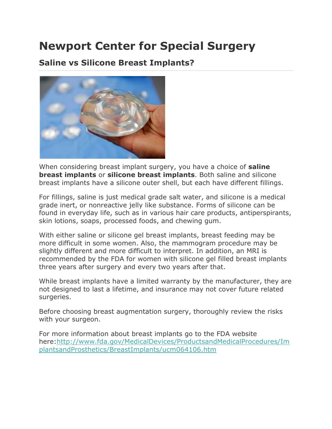# **Newport Center for Special Surgery**

#### **Saline vs Silicone Breast Implants?**



When considering breast implant surgery, you have a choice of **saline breast implants** or **silicone breast implants**. Both saline and silicone breast implants have a silicone outer shell, but each have different fillings.

For fillings, saline is just medical grade salt water, and silicone is a medical grade inert, or nonreactive jelly like substance. Forms of silicone can be found in everyday life, such as in various hair care products, antiperspirants, skin lotions, soaps, processed foods, and chewing gum.

With either saline or silicone gel breast implants, breast feeding may be more difficult in some women. Also, the mammogram procedure may be slightly different and more difficult to interpret. In addition, an MRI is recommended by the FDA for women with silicone gel filled breast implants three years after surgery and every two years after that.

While breast implants have a limited warranty by the manufacturer, they are not designed to last a lifetime, and insurance may not cover future related surgeries.

Before choosing breast augmentation surgery, thoroughly review the risks with your surgeon.

For more information about breast implants go to the FDA website here[:http://www.fda.gov/MedicalDevices/ProductsandMedicalProcedures/Im](http://www.fda.gov/MedicalDevices/ProductsandMedicalProcedures/ImplantsandProsthetics/BreastImplants/ucm064106.htm) [plantsandProsthetics/BreastImplants/ucm064106.htm](http://www.fda.gov/MedicalDevices/ProductsandMedicalProcedures/ImplantsandProsthetics/BreastImplants/ucm064106.htm)